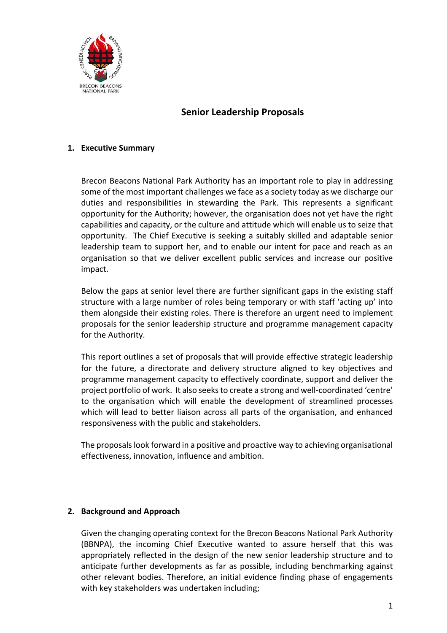

# **Senior Leadership Proposals**

### **1. Executive Summary**

Brecon Beacons National Park Authority has an important role to play in addressing some of the most important challenges we face as a society today as we discharge our duties and responsibilities in stewarding the Park. This represents a significant opportunity for the Authority; however, the organisation does not yet have the right capabilities and capacity, or the culture and attitude which will enable us to seize that opportunity. The Chief Executive is seeking a suitably skilled and adaptable senior leadership team to support her, and to enable our intent for pace and reach as an organisation so that we deliver excellent public services and increase our positive impact.

Below the gaps at senior level there are further significant gaps in the existing staff structure with a large number of roles being temporary or with staff 'acting up' into them alongside their existing roles. There is therefore an urgent need to implement proposals for the senior leadership structure and programme management capacity for the Authority.

This report outlines a set of proposals that will provide effective strategic leadership for the future, a directorate and delivery structure aligned to key objectives and programme management capacity to effectively coordinate, support and deliver the project portfolio of work. It also seeksto create a strong and well-coordinated 'centre' to the organisation which will enable the development of streamlined processes which will lead to better liaison across all parts of the organisation, and enhanced responsiveness with the public and stakeholders.

The proposals look forward in a positive and proactive way to achieving organisational effectiveness, innovation, influence and ambition.

## **2. Background and Approach**

Given the changing operating context for the Brecon Beacons National Park Authority (BBNPA), the incoming Chief Executive wanted to assure herself that this was appropriately reflected in the design of the new senior leadership structure and to anticipate further developments as far as possible, including benchmarking against other relevant bodies. Therefore, an initial evidence finding phase of engagements with key stakeholders was undertaken including;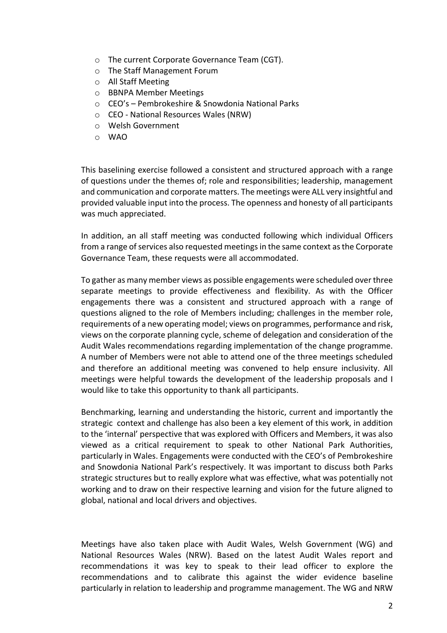- o The current Corporate Governance Team (CGT).
- o The Staff Management Forum
- o All Staff Meeting
- o BBNPA Member Meetings
- o CEO's Pembrokeshire & Snowdonia National Parks
- o CEO National Resources Wales (NRW)
- o Welsh Government
- o WAO

This baselining exercise followed a consistent and structured approach with a range of questions under the themes of; role and responsibilities; leadership, management and communication and corporate matters. The meetings were ALL very insightful and provided valuable input into the process. The openness and honesty of all participants was much appreciated.

In addition, an all staff meeting was conducted following which individual Officers from a range of services also requested meetings in the same context as the Corporate Governance Team, these requests were all accommodated.

To gather as many member views as possible engagements were scheduled over three separate meetings to provide effectiveness and flexibility. As with the Officer engagements there was a consistent and structured approach with a range of questions aligned to the role of Members including; challenges in the member role, requirements of a new operating model; views on programmes, performance and risk, views on the corporate planning cycle, scheme of delegation and consideration of the Audit Wales recommendations regarding implementation of the change programme. A number of Members were not able to attend one of the three meetings scheduled and therefore an additional meeting was convened to help ensure inclusivity. All meetings were helpful towards the development of the leadership proposals and I would like to take this opportunity to thank all participants.

Benchmarking, learning and understanding the historic, current and importantly the strategic context and challenge has also been a key element of this work, in addition to the 'internal' perspective that was explored with Officers and Members, it was also viewed as a critical requirement to speak to other National Park Authorities, particularly in Wales. Engagements were conducted with the CEO's of Pembrokeshire and Snowdonia National Park's respectively. It was important to discuss both Parks strategic structures but to really explore what was effective, what was potentially not working and to draw on their respective learning and vision for the future aligned to global, national and local drivers and objectives.

Meetings have also taken place with Audit Wales, Welsh Government (WG) and National Resources Wales (NRW). Based on the latest Audit Wales report and recommendations it was key to speak to their lead officer to explore the recommendations and to calibrate this against the wider evidence baseline particularly in relation to leadership and programme management. The WG and NRW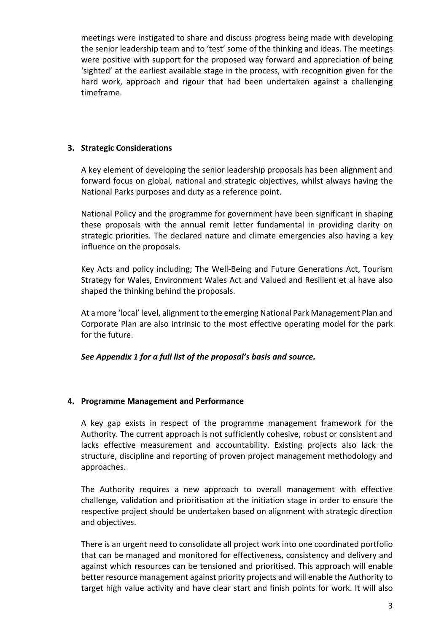meetings were instigated to share and discuss progress being made with developing the senior leadership team and to 'test' some of the thinking and ideas. The meetings were positive with support for the proposed way forward and appreciation of being 'sighted' at the earliest available stage in the process, with recognition given for the hard work, approach and rigour that had been undertaken against a challenging timeframe.

### **3. Strategic Considerations**

A key element of developing the senior leadership proposals has been alignment and forward focus on global, national and strategic objectives, whilst always having the National Parks purposes and duty as a reference point.

National Policy and the programme for government have been significant in shaping these proposals with the annual remit letter fundamental in providing clarity on strategic priorities. The declared nature and climate emergencies also having a key influence on the proposals.

Key Acts and policy including; The Well-Being and Future Generations Act, Tourism Strategy for Wales, Environment Wales Act and Valued and Resilient et al have also shaped the thinking behind the proposals.

At a more 'local' level, alignment to the emerging National Park Management Plan and Corporate Plan are also intrinsic to the most effective operating model for the park for the future.

## *See Appendix 1 for a full list of the proposal's basis and source.*

#### **4. Programme Management and Performance**

A key gap exists in respect of the programme management framework for the Authority. The current approach is not sufficiently cohesive, robust or consistent and lacks effective measurement and accountability. Existing projects also lack the structure, discipline and reporting of proven project management methodology and approaches.

The Authority requires a new approach to overall management with effective challenge, validation and prioritisation at the initiation stage in order to ensure the respective project should be undertaken based on alignment with strategic direction and objectives.

There is an urgent need to consolidate all project work into one coordinated portfolio that can be managed and monitored for effectiveness, consistency and delivery and against which resources can be tensioned and prioritised. This approach will enable better resource management against priority projects and will enable the Authority to target high value activity and have clear start and finish points for work. It will also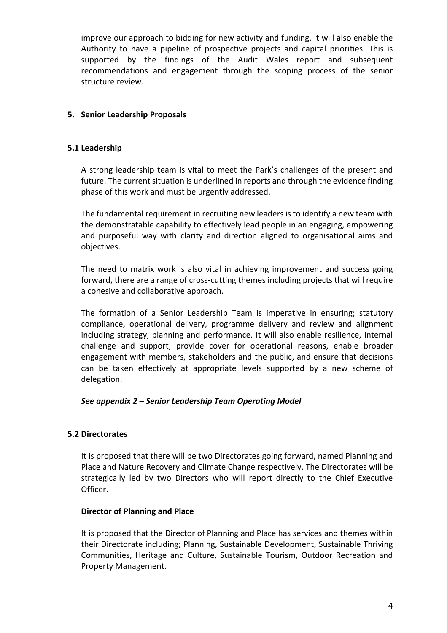improve our approach to bidding for new activity and funding. It will also enable the Authority to have a pipeline of prospective projects and capital priorities. This is supported by the findings of the Audit Wales report and subsequent recommendations and engagement through the scoping process of the senior structure review.

## **5. Senior Leadership Proposals**

#### **5.1 Leadership**

A strong leadership team is vital to meet the Park's challenges of the present and future. The current situation is underlined in reports and through the evidence finding phase of this work and must be urgently addressed.

The fundamental requirement in recruiting new leaders is to identify a new team with the demonstratable capability to effectively lead people in an engaging, empowering and purposeful way with clarity and direction aligned to organisational aims and objectives.

The need to matrix work is also vital in achieving improvement and success going forward, there are a range of cross-cutting themes including projects that will require a cohesive and collaborative approach.

The formation of a Senior Leadership Team is imperative in ensuring; statutory compliance, operational delivery, programme delivery and review and alignment including strategy, planning and performance. It will also enable resilience, internal challenge and support, provide cover for operational reasons, enable broader engagement with members, stakeholders and the public, and ensure that decisions can be taken effectively at appropriate levels supported by a new scheme of delegation.

#### *See appendix 2 – Senior Leadership Team Operating Model*

#### **5.2 Directorates**

It is proposed that there will be two Directorates going forward, named Planning and Place and Nature Recovery and Climate Change respectively. The Directorates will be strategically led by two Directors who will report directly to the Chief Executive Officer.

#### **Director of Planning and Place**

It is proposed that the Director of Planning and Place has services and themes within their Directorate including; Planning, Sustainable Development, Sustainable Thriving Communities, Heritage and Culture, Sustainable Tourism, Outdoor Recreation and Property Management.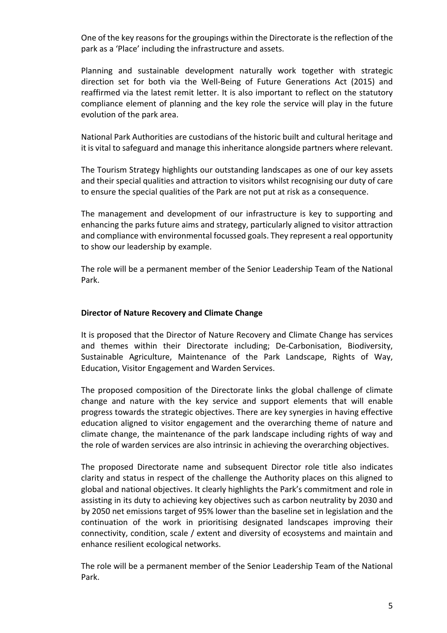One of the key reasons for the groupings within the Directorate is the reflection of the park as a 'Place' including the infrastructure and assets.

Planning and sustainable development naturally work together with strategic direction set for both via the Well-Being of Future Generations Act (2015) and reaffirmed via the latest remit letter. It is also important to reflect on the statutory compliance element of planning and the key role the service will play in the future evolution of the park area.

National Park Authorities are custodians of the historic built and cultural heritage and it is vital to safeguard and manage this inheritance alongside partners where relevant.

The Tourism Strategy highlights our outstanding landscapes as one of our key assets and their special qualities and attraction to visitors whilst recognising our duty of care to ensure the special qualities of the Park are not put at risk as a consequence.

The management and development of our infrastructure is key to supporting and enhancing the parks future aims and strategy, particularly aligned to visitor attraction and compliance with environmental focussed goals. They represent a real opportunity to show our leadership by example.

The role will be a permanent member of the Senior Leadership Team of the National Park.

#### **Director of Nature Recovery and Climate Change**

It is proposed that the Director of Nature Recovery and Climate Change has services and themes within their Directorate including; De-Carbonisation, Biodiversity, Sustainable Agriculture, Maintenance of the Park Landscape, Rights of Way, Education, Visitor Engagement and Warden Services.

The proposed composition of the Directorate links the global challenge of climate change and nature with the key service and support elements that will enable progress towards the strategic objectives. There are key synergies in having effective education aligned to visitor engagement and the overarching theme of nature and climate change, the maintenance of the park landscape including rights of way and the role of warden services are also intrinsic in achieving the overarching objectives.

The proposed Directorate name and subsequent Director role title also indicates clarity and status in respect of the challenge the Authority places on this aligned to global and national objectives. It clearly highlights the Park's commitment and role in assisting in its duty to achieving key objectives such as carbon neutrality by 2030 and by 2050 net emissions target of 95% lower than the baseline set in legislation and the continuation of the work in prioritising designated landscapes improving their connectivity, condition, scale / extent and diversity of ecosystems and maintain and enhance resilient ecological networks.

The role will be a permanent member of the Senior Leadership Team of the National Park.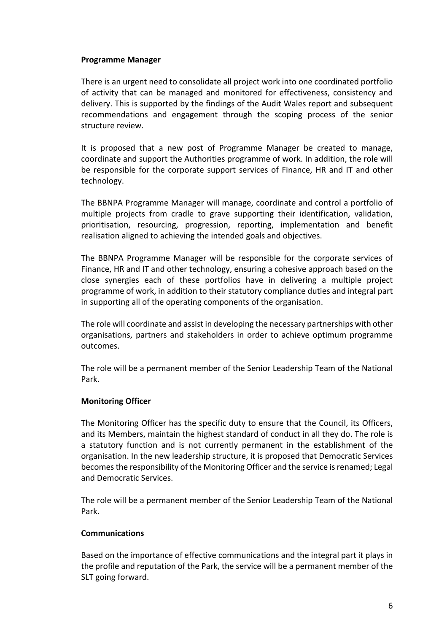#### **Programme Manager**

There is an urgent need to consolidate all project work into one coordinated portfolio of activity that can be managed and monitored for effectiveness, consistency and delivery. This is supported by the findings of the Audit Wales report and subsequent recommendations and engagement through the scoping process of the senior structure review.

It is proposed that a new post of Programme Manager be created to manage, coordinate and support the Authorities programme of work. In addition, the role will be responsible for the corporate support services of Finance, HR and IT and other technology.

The BBNPA Programme Manager will manage, coordinate and control a portfolio of multiple projects from cradle to grave supporting their identification, validation, prioritisation, resourcing, progression, reporting, implementation and benefit realisation aligned to achieving the intended goals and objectives.

The BBNPA Programme Manager will be responsible for the corporate services of Finance, HR and IT and other technology, ensuring a cohesive approach based on the close synergies each of these portfolios have in delivering a multiple project programme of work, in addition to their statutory compliance duties and integral part in supporting all of the operating components of the organisation.

The role will coordinate and assist in developing the necessary partnerships with other organisations, partners and stakeholders in order to achieve optimum programme outcomes.

The role will be a permanent member of the Senior Leadership Team of the National Park.

## **Monitoring Officer**

The Monitoring Officer has the specific duty to ensure that the Council, its Officers, and its Members, maintain the highest standard of conduct in all they do. The role is a statutory function and is not currently permanent in the establishment of the organisation. In the new leadership structure, it is proposed that Democratic Services becomesthe responsibility of the Monitoring Officer and the service isrenamed; Legal and Democratic Services.

The role will be a permanent member of the Senior Leadership Team of the National Park.

## **Communications**

Based on the importance of effective communications and the integral part it plays in the profile and reputation of the Park, the service will be a permanent member of the SLT going forward.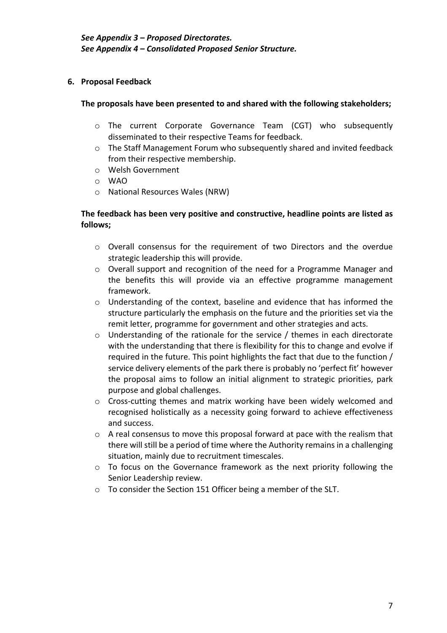## **6. Proposal Feedback**

### **The proposals have been presented to and shared with the following stakeholders;**

- o The current Corporate Governance Team (CGT) who subsequently disseminated to their respective Teams for feedback.
- $\circ$  The Staff Management Forum who subsequently shared and invited feedback from their respective membership.
- o Welsh Government
- o WAO
- o National Resources Wales (NRW)

## **The feedback has been very positive and constructive, headline points are listed as follows;**

- o Overall consensus for the requirement of two Directors and the overdue strategic leadership this will provide.
- o Overall support and recognition of the need for a Programme Manager and the benefits this will provide via an effective programme management framework.
- $\circ$  Understanding of the context, baseline and evidence that has informed the structure particularly the emphasis on the future and the priorities set via the remit letter, programme for government and other strategies and acts.
- $\circ$  Understanding of the rationale for the service / themes in each directorate with the understanding that there is flexibility for this to change and evolve if required in the future. This point highlights the fact that due to the function / service delivery elements of the park there is probably no 'perfect fit' however the proposal aims to follow an initial alignment to strategic priorities, park purpose and global challenges.
- $\circ$  Cross-cutting themes and matrix working have been widely welcomed and recognised holistically as a necessity going forward to achieve effectiveness and success.
- $\circ$  A real consensus to move this proposal forward at pace with the realism that there will still be a period of time where the Authority remains in a challenging situation, mainly due to recruitment timescales.
- o To focus on the Governance framework as the next priority following the Senior Leadership review.
- o To consider the Section 151 Officer being a member of the SLT.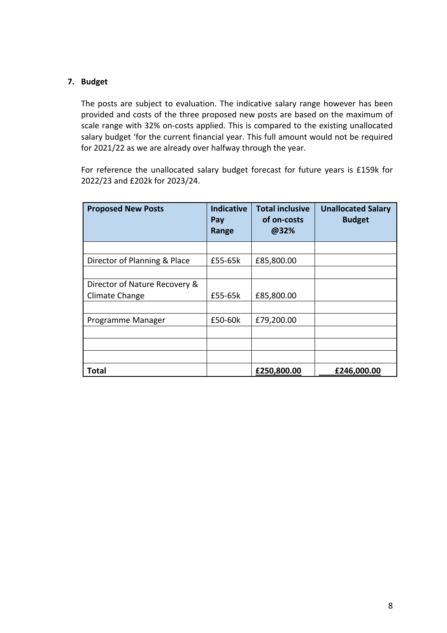## **7. Budget**

The posts are subject to evaluation. The indicative salary range however has been provided and costs of the three proposed new posts are based on the maximum of scale range with 32% on-costs applied. This is compared to the existing unallocated salary budget 'for the current financial year. This full amount would not be required for 2021/22 as we are already over halfway through the year.

For reference the unallocated salary budget forecast for future years is £159k for 2022/23 and £202k for 2023/24.

| <b>Proposed New Posts</b>     | <b>Indicative</b><br>Pay<br>Range | <b>Total inclusive</b><br>of on-costs<br>@32% | <b>Unallocated Salary</b><br><b>Budget</b> |
|-------------------------------|-----------------------------------|-----------------------------------------------|--------------------------------------------|
|                               |                                   |                                               |                                            |
| Director of Planning & Place  | £55-65k                           | £85,800.00                                    |                                            |
|                               |                                   |                                               |                                            |
| Director of Nature Recovery & |                                   |                                               |                                            |
| Climate Change                | £55-65k                           | £85,800.00                                    |                                            |
|                               |                                   |                                               |                                            |
| Programme Manager             | £50-60k                           | £79,200.00                                    |                                            |
|                               |                                   |                                               |                                            |
|                               |                                   |                                               |                                            |
|                               |                                   |                                               |                                            |
| Total                         |                                   | £250,800.00                                   | £246,000.00                                |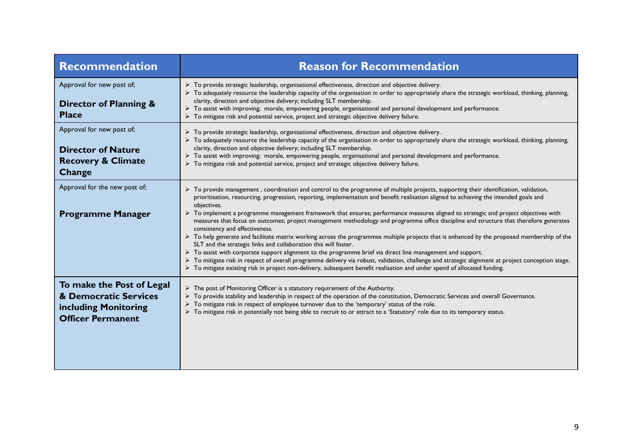| Recommendation                                                                                         | <b>Reason for Recommendation</b>                                                                                                                                                                                                                                                                                                                                                                                                                                                                                                                                                                                                                                                                                                                                                                                                                                                                                                                                                                                                                                                                                                                                                                                                                                    |
|--------------------------------------------------------------------------------------------------------|---------------------------------------------------------------------------------------------------------------------------------------------------------------------------------------------------------------------------------------------------------------------------------------------------------------------------------------------------------------------------------------------------------------------------------------------------------------------------------------------------------------------------------------------------------------------------------------------------------------------------------------------------------------------------------------------------------------------------------------------------------------------------------------------------------------------------------------------------------------------------------------------------------------------------------------------------------------------------------------------------------------------------------------------------------------------------------------------------------------------------------------------------------------------------------------------------------------------------------------------------------------------|
| Approval for new post of;<br><b>Director of Planning &amp;</b><br><b>Place</b>                         | > To provide strategic leadership, organisational effectiveness, direction and objective delivery.<br>> To adequately resource the leadership capacity of the organisation in order to appropriately share the strategic workload, thinking, planning,<br>clarity, direction and objective delivery; including SLT membership.<br>> To assist with improving; morale, empowering people, organisational and personal development and performance.<br>> To mitigate risk and potential service, project and strategic objective delivery failure.                                                                                                                                                                                                                                                                                                                                                                                                                                                                                                                                                                                                                                                                                                                    |
| Approval for new post of;<br><b>Director of Nature</b><br><b>Recovery &amp; Climate</b><br>Change      | $\triangleright$ To provide strategic leadership, organisational effectiveness, direction and objective delivery.<br>> To adequately resource the leadership capacity of the organisation in order to appropriately share the strategic workload, thinking, planning,<br>clarity, direction and objective delivery; including SLT membership.<br>> To assist with improving; morale, empowering people, organisational and personal development and performance.<br>> To mitigate risk and potential service, project and strategic objective delivery failure.                                                                                                                                                                                                                                                                                                                                                                                                                                                                                                                                                                                                                                                                                                     |
| Approval for the new post of;<br><b>Programme Manager</b>                                              | > To provide management, coordination and control to the programme of multiple projects, supporting their identification, validation,<br>prioritisation, resourcing, progression, reporting, implementation and benefit realisation aligned to achieving the intended goals and<br>objectives.<br>> To implement a programme management framework that ensures; performance measures aligned to strategic and project objectives with<br>measures that focus on outcomes; project management methodology and programme office discipline and structure that therefore generates<br>consistency and effectiveness.<br>$\triangleright$ To help generate and facilitate matrix working across the programmes multiple projects that is enhanced by the proposed membership of the<br>SLT and the strategic links and collaboration this will foster.<br>$\triangleright$ To assist with corporate support alignment to the programme brief via direct line management and support.<br>> To mitigate risk in respect of overall programme delivery via robust, validation, challenge and strategic alignment at project conception stage.<br>> To mitigate existing risk in project non-delivery, subsequent benefit realisation and under spend of allocated funding. |
| To make the Post of Legal<br>& Democratic Services<br>including Monitoring<br><b>Officer Permanent</b> | $\triangleright$ The post of Monitoring Officer is a statutory requirement of the Authority.<br>> To provide stability and leadership in respect of the operation of the constitution, Democratic Services and overall Governance.<br>> To mitigate risk in respect of employee turnover due to the 'temporary' status of the role.<br>> To mitigate risk in potentially not being able to recruit to or attract to a 'Statutory' role due to its temporary status.                                                                                                                                                                                                                                                                                                                                                                                                                                                                                                                                                                                                                                                                                                                                                                                                 |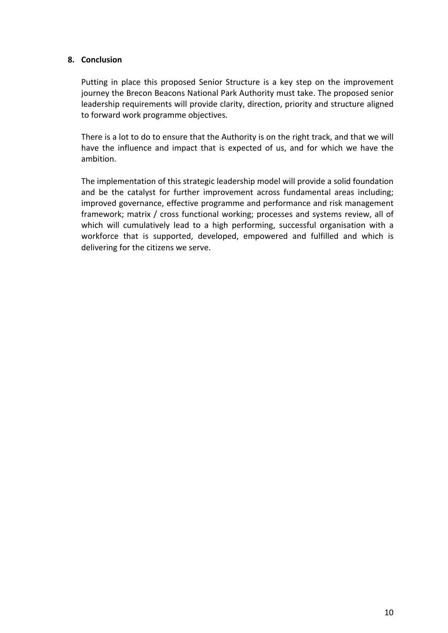#### **8. Conclusion**

Putting in place this proposed Senior Structure is a key step on the improvement journey the Brecon Beacons National Park Authority must take. The proposed senior leadership requirements will provide clarity, direction, priority and structure aligned to forward work programme objectives.

There is a lot to do to ensure that the Authority is on the right track, and that we will have the influence and impact that is expected of us, and for which we have the ambition.

The implementation of this strategic leadership model will provide a solid foundation and be the catalyst for further improvement across fundamental areas including; improved governance, effective programme and performance and risk management framework; matrix / cross functional working; processes and systems review, all of which will cumulatively lead to a high performing, successful organisation with a workforce that is supported, developed, empowered and fulfilled and which is delivering for the citizens we serve.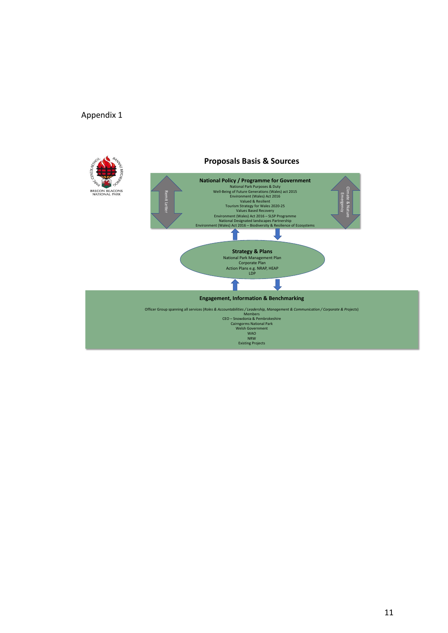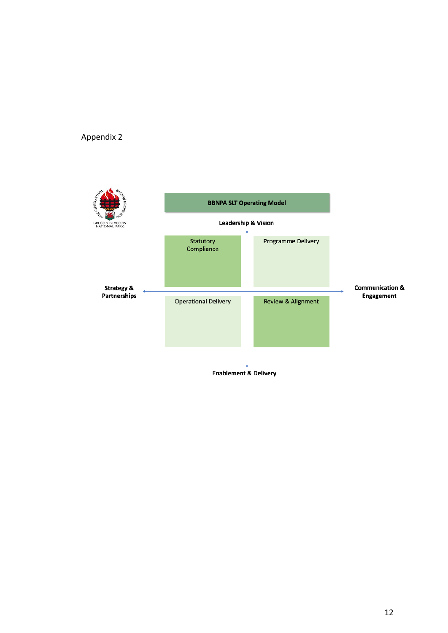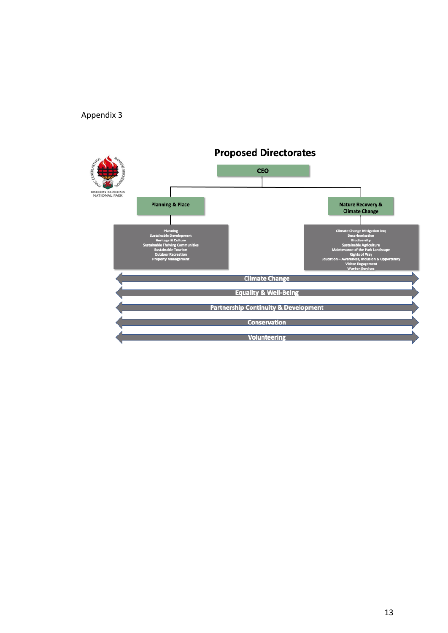